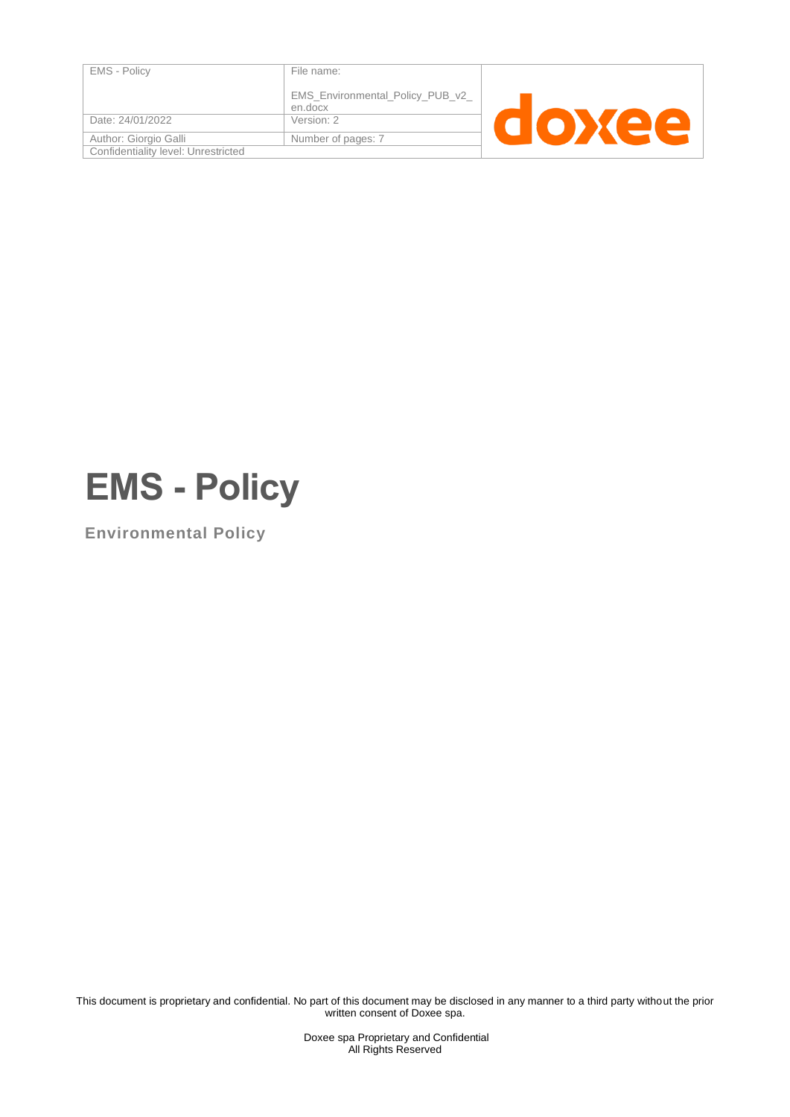| <b>EMS - Policy</b>                 | File name:                       |  |  |
|-------------------------------------|----------------------------------|--|--|
|                                     |                                  |  |  |
|                                     |                                  |  |  |
|                                     | EMS_Environmental_Policy_PUB_v2_ |  |  |
|                                     | en.docx                          |  |  |
|                                     |                                  |  |  |
| Date: 24/01/2022                    | Version: 2                       |  |  |
|                                     |                                  |  |  |
| Author: Giorgio Galli               | Number of pages: 7               |  |  |
| Confidentiality level: Unrestricted |                                  |  |  |
|                                     |                                  |  |  |



**Environmental Policy**

This document is proprietary and confidential. No part of this document may be disclosed in any manner to a third party without the prior written consent of Doxee spa.

> Doxee spa Proprietary and Confidential All Rights Reserved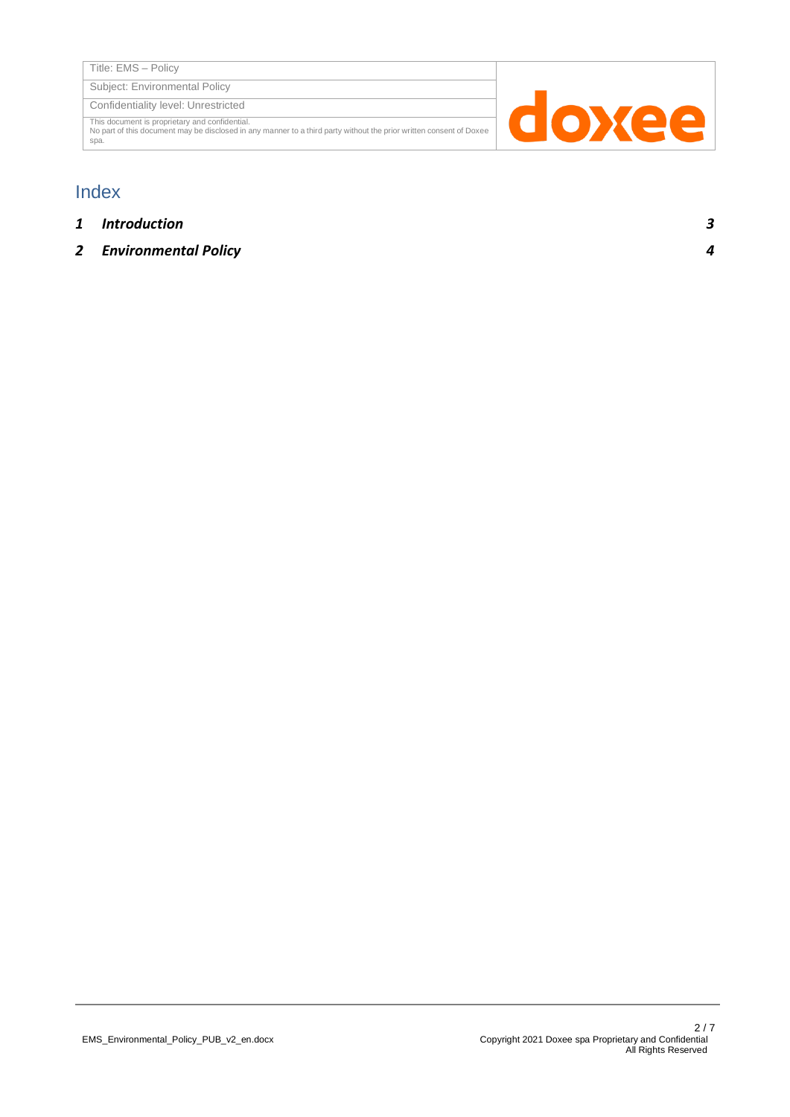Subject: Environmental Policy

Confidentiality level: Unrestricted

This document is proprietary and confidential. No part of this document may be disclosed in any manner to a third party without the prior written consent of Doxee spa.



## Index

- *1 [Introduction](#page-2-0) 3*
- *2 [Environmental Policy](#page-3-0) 4*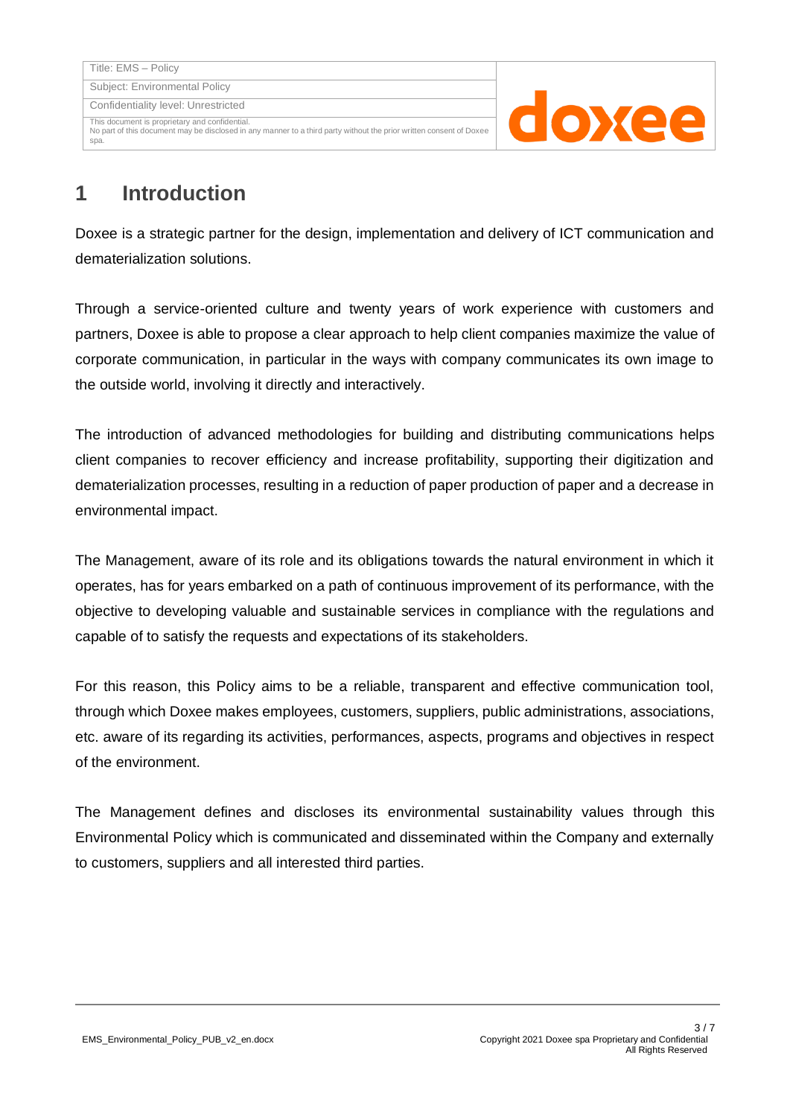This document is proprietary and confidential. No part of this document may be disclosed in any manner to a third party without the prior written consent of Doxee



## <span id="page-2-0"></span>**1 Introduction**

spa.

Doxee is a strategic partner for the design, implementation and delivery of ICT communication and dematerialization solutions.

Through a service-oriented culture and twenty years of work experience with customers and partners, Doxee is able to propose a clear approach to help client companies maximize the value of corporate communication, in particular in the ways with company communicates its own image to the outside world, involving it directly and interactively.

The introduction of advanced methodologies for building and distributing communications helps client companies to recover efficiency and increase profitability, supporting their digitization and dematerialization processes, resulting in a reduction of paper production of paper and a decrease in environmental impact.

The Management, aware of its role and its obligations towards the natural environment in which it operates, has for years embarked on a path of continuous improvement of its performance, with the objective to developing valuable and sustainable services in compliance with the regulations and capable of to satisfy the requests and expectations of its stakeholders.

For this reason, this Policy aims to be a reliable, transparent and effective communication tool, through which Doxee makes employees, customers, suppliers, public administrations, associations, etc. aware of its regarding its activities, performances, aspects, programs and objectives in respect of the environment.

The Management defines and discloses its environmental sustainability values through this Environmental Policy which is communicated and disseminated within the Company and externally to customers, suppliers and all interested third parties.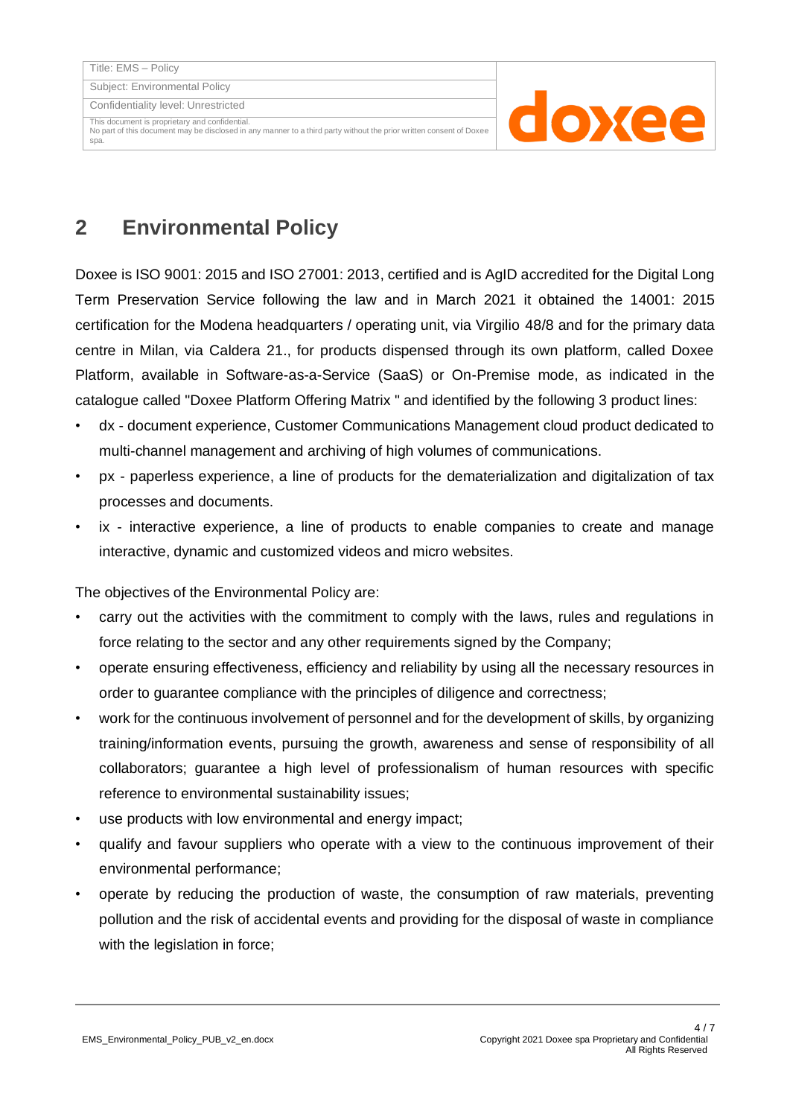Subject: Environmental Policy

Confidentiality level: Unrestricted

This document is proprietary and confidential. No part of this document may be disclosed in any manner to a third party without the prior written consent of Doxee spa.



## <span id="page-3-0"></span>**2 Environmental Policy**

Doxee is ISO 9001: 2015 and ISO 27001: 2013, certified and is AgID accredited for the Digital Long Term Preservation Service following the law and in March 2021 it obtained the 14001: 2015 certification for the Modena headquarters / operating unit, via Virgilio 48/8 and for the primary data centre in Milan, via Caldera 21., for products dispensed through its own platform, called Doxee Platform, available in Software-as-a-Service (SaaS) or On-Premise mode, as indicated in the catalogue called "Doxee Platform Offering Matrix " and identified by the following 3 product lines:

- dx document experience, Customer Communications Management cloud product dedicated to multi-channel management and archiving of high volumes of communications.
- px paperless experience, a line of products for the dematerialization and digitalization of tax processes and documents.
- ix interactive experience, a line of products to enable companies to create and manage interactive, dynamic and customized videos and micro websites.

The objectives of the Environmental Policy are:

- carry out the activities with the commitment to comply with the laws, rules and regulations in force relating to the sector and any other requirements signed by the Company;
- operate ensuring effectiveness, efficiency and reliability by using all the necessary resources in order to guarantee compliance with the principles of diligence and correctness;
- work for the continuous involvement of personnel and for the development of skills, by organizing training/information events, pursuing the growth, awareness and sense of responsibility of all collaborators; guarantee a high level of professionalism of human resources with specific reference to environmental sustainability issues;
- use products with low environmental and energy impact;
- qualify and favour suppliers who operate with a view to the continuous improvement of their environmental performance;
- operate by reducing the production of waste, the consumption of raw materials, preventing pollution and the risk of accidental events and providing for the disposal of waste in compliance with the legislation in force;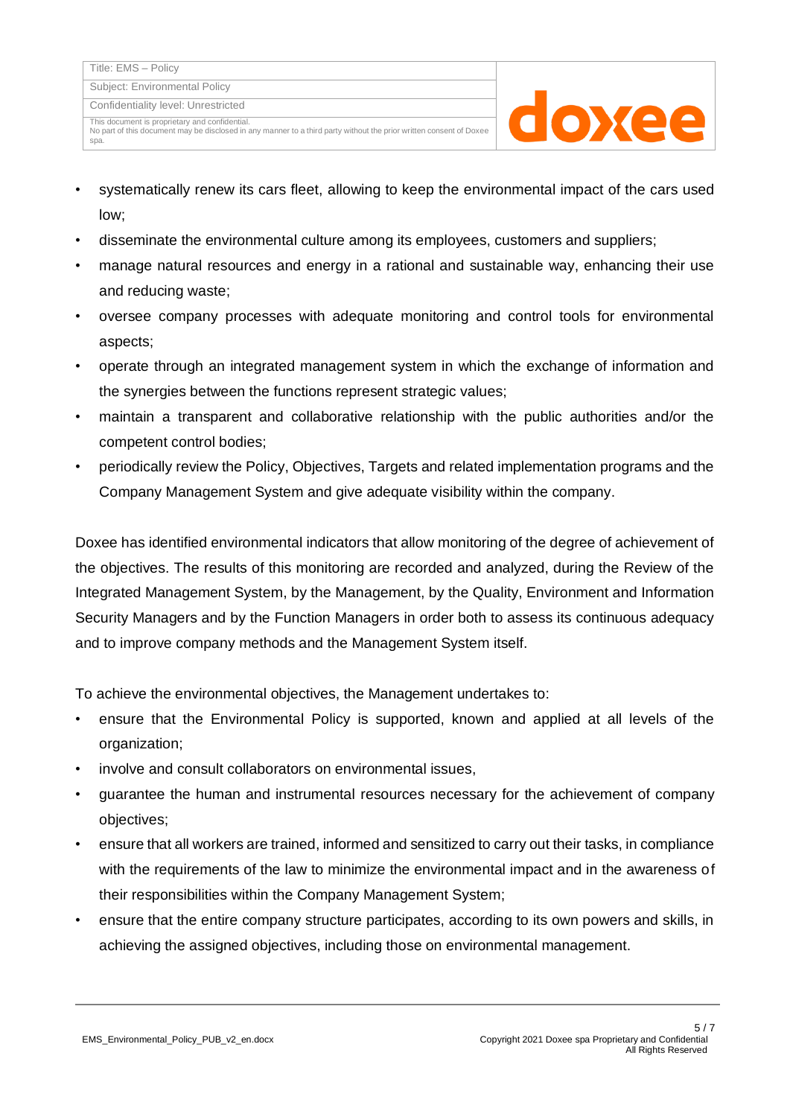spa.

Confidentiality level: Unrestricted

This document is proprietary and confidential. No part of this document may be disclosed in any manner to a third party without the prior written consent of Doxee



- systematically renew its cars fleet, allowing to keep the environmental impact of the cars used low;
- disseminate the environmental culture among its employees, customers and suppliers;
- manage natural resources and energy in a rational and sustainable way, enhancing their use and reducing waste;
- oversee company processes with adequate monitoring and control tools for environmental aspects;
- operate through an integrated management system in which the exchange of information and the synergies between the functions represent strategic values;
- maintain a transparent and collaborative relationship with the public authorities and/or the competent control bodies;
- periodically review the Policy, Objectives, Targets and related implementation programs and the Company Management System and give adequate visibility within the company.

Doxee has identified environmental indicators that allow monitoring of the degree of achievement of the objectives. The results of this monitoring are recorded and analyzed, during the Review of the Integrated Management System, by the Management, by the Quality, Environment and Information Security Managers and by the Function Managers in order both to assess its continuous adequacy and to improve company methods and the Management System itself.

To achieve the environmental objectives, the Management undertakes to:

- ensure that the Environmental Policy is supported, known and applied at all levels of the organization;
- involve and consult collaborators on environmental issues,
- guarantee the human and instrumental resources necessary for the achievement of company objectives;
- ensure that all workers are trained, informed and sensitized to carry out their tasks, in compliance with the requirements of the law to minimize the environmental impact and in the awareness of their responsibilities within the Company Management System;
- ensure that the entire company structure participates, according to its own powers and skills, in achieving the assigned objectives, including those on environmental management.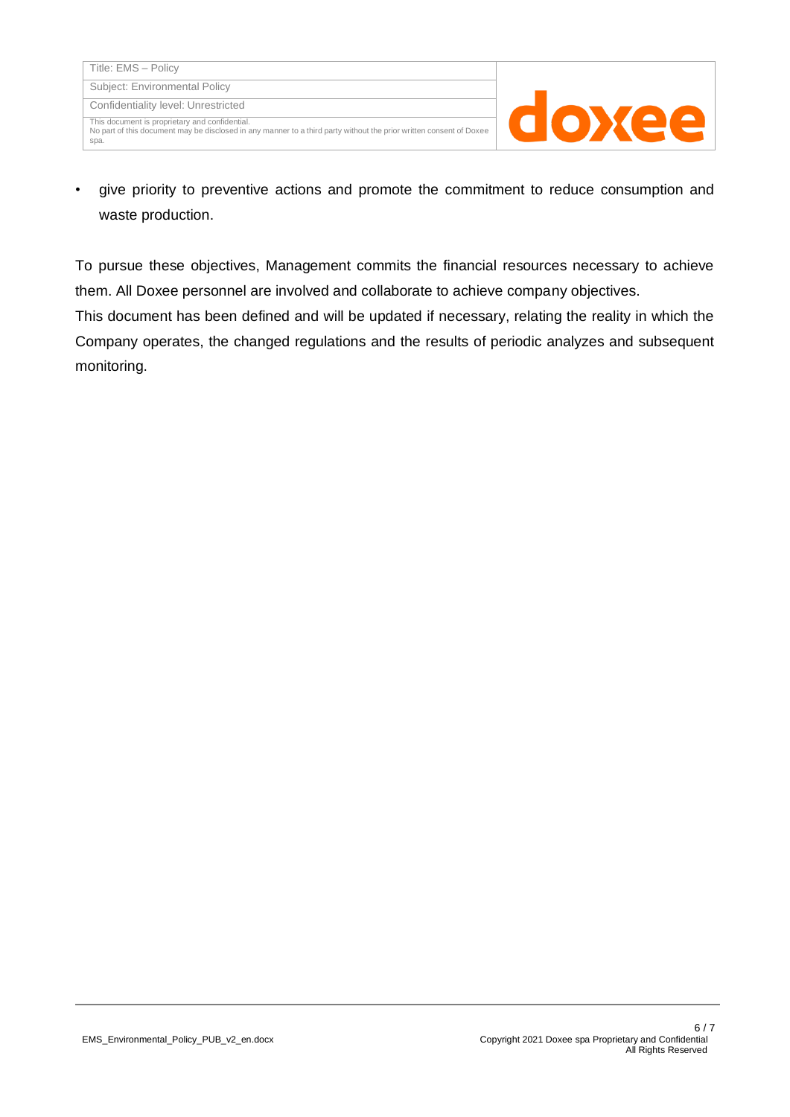spa.

No part of this document may be disclosed in any manner to a third party without the prior written consent of Doxee

doxee

• give priority to preventive actions and promote the commitment to reduce consumption and waste production.

To pursue these objectives, Management commits the financial resources necessary to achieve them. All Doxee personnel are involved and collaborate to achieve company objectives.

This document has been defined and will be updated if necessary, relating the reality in which the Company operates, the changed regulations and the results of periodic analyzes and subsequent monitoring.